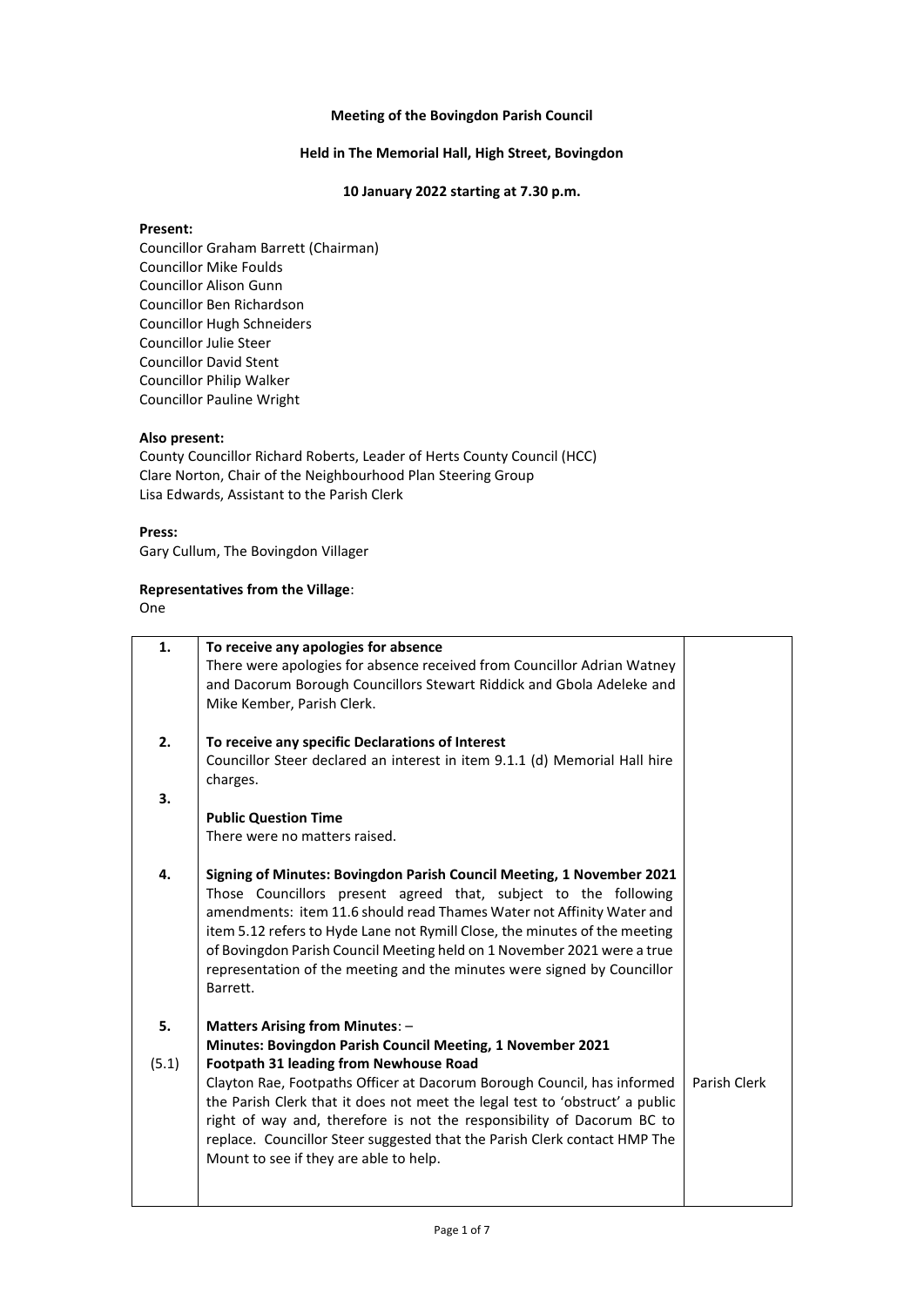#### **Meeting of the Bovingdon Parish Council**

## **Held in The Memorial Hall, High Street, Bovingdon**

### **10 January 2022 starting at 7.30 p.m.**

# **Present:**

Councillor Graham Barrett (Chairman) Councillor Mike Foulds Councillor Alison Gunn Councillor Ben Richardson Councillor Hugh Schneiders Councillor Julie Steer Councillor David Stent Councillor Philip Walker Councillor Pauline Wright

# **Also present:**

County Councillor Richard Roberts, Leader of Herts County Council (HCC) Clare Norton, Chair of the Neighbourhood Plan Steering Group Lisa Edwards, Assistant to the Parish Clerk

#### **Press:**

Gary Cullum, The Bovingdon Villager

# **Representatives from the Village**:

One

| 1.    | To receive any apologies for absence<br>There were apologies for absence received from Councillor Adrian Watney<br>and Dacorum Borough Councillors Stewart Riddick and Gbola Adeleke and<br>Mike Kember, Parish Clerk.                                                                                                                                                                                                                                            |              |
|-------|-------------------------------------------------------------------------------------------------------------------------------------------------------------------------------------------------------------------------------------------------------------------------------------------------------------------------------------------------------------------------------------------------------------------------------------------------------------------|--------------|
| 2.    | To receive any specific Declarations of Interest<br>Councillor Steer declared an interest in item 9.1.1 (d) Memorial Hall hire<br>charges.                                                                                                                                                                                                                                                                                                                        |              |
| 3.    | <b>Public Question Time</b><br>There were no matters raised.                                                                                                                                                                                                                                                                                                                                                                                                      |              |
| 4.    | Signing of Minutes: Bovingdon Parish Council Meeting, 1 November 2021<br>Those Councillors present agreed that, subject to the following<br>amendments: item 11.6 should read Thames Water not Affinity Water and<br>item 5.12 refers to Hyde Lane not Rymill Close, the minutes of the meeting<br>of Bovingdon Parish Council Meeting held on 1 November 2021 were a true<br>representation of the meeting and the minutes were signed by Councillor<br>Barrett. |              |
| 5.    | <b>Matters Arising from Minutes: -</b><br>Minutes: Bovingdon Parish Council Meeting, 1 November 2021                                                                                                                                                                                                                                                                                                                                                              |              |
| (5.1) | <b>Footpath 31 leading from Newhouse Road</b><br>Clayton Rae, Footpaths Officer at Dacorum Borough Council, has informed<br>the Parish Clerk that it does not meet the legal test to 'obstruct' a public<br>right of way and, therefore is not the responsibility of Dacorum BC to<br>replace. Councillor Steer suggested that the Parish Clerk contact HMP The<br>Mount to see if they are able to help.                                                         | Parish Clerk |
|       |                                                                                                                                                                                                                                                                                                                                                                                                                                                                   |              |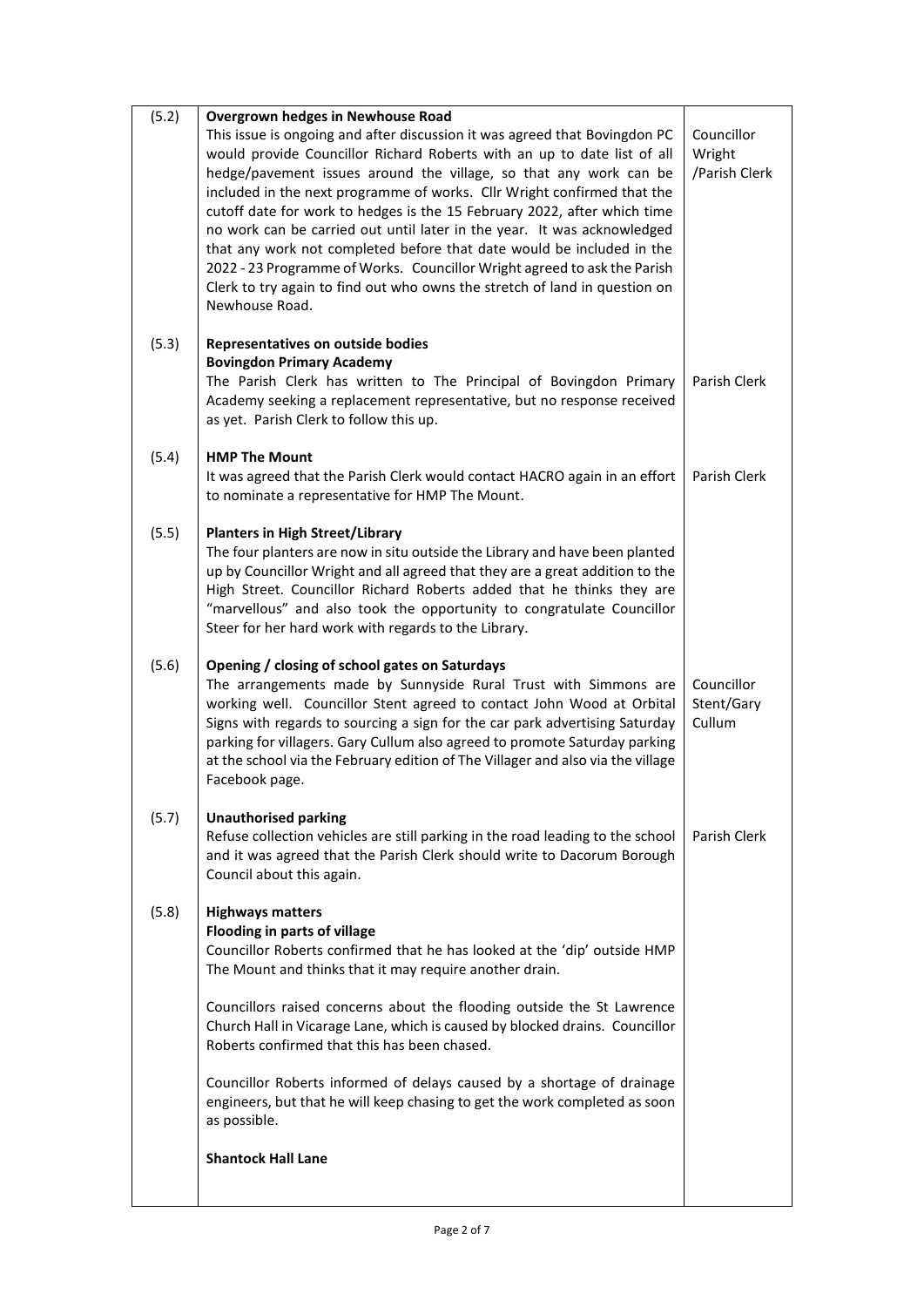| (5.2) | <b>Overgrown hedges in Newhouse Road</b>                                                                                                                                                                                                                                                                                                                                                                                                                     |                                       |
|-------|--------------------------------------------------------------------------------------------------------------------------------------------------------------------------------------------------------------------------------------------------------------------------------------------------------------------------------------------------------------------------------------------------------------------------------------------------------------|---------------------------------------|
|       | This issue is ongoing and after discussion it was agreed that Bovingdon PC<br>would provide Councillor Richard Roberts with an up to date list of all<br>hedge/pavement issues around the village, so that any work can be<br>included in the next programme of works. Cllr Wright confirmed that the                                                                                                                                                        | Councillor<br>Wright<br>/Parish Clerk |
|       | cutoff date for work to hedges is the 15 February 2022, after which time<br>no work can be carried out until later in the year. It was acknowledged<br>that any work not completed before that date would be included in the<br>2022 - 23 Programme of Works. Councillor Wright agreed to ask the Parish<br>Clerk to try again to find out who owns the stretch of land in question on                                                                       |                                       |
|       | Newhouse Road.                                                                                                                                                                                                                                                                                                                                                                                                                                               |                                       |
| (5.3) | Representatives on outside bodies<br><b>Bovingdon Primary Academy</b><br>The Parish Clerk has written to The Principal of Bovingdon Primary<br>Academy seeking a replacement representative, but no response received<br>as yet. Parish Clerk to follow this up.                                                                                                                                                                                             | Parish Clerk                          |
| (5.4) | <b>HMP The Mount</b><br>It was agreed that the Parish Clerk would contact HACRO again in an effort<br>to nominate a representative for HMP The Mount.                                                                                                                                                                                                                                                                                                        | Parish Clerk                          |
| (5.5) | <b>Planters in High Street/Library</b><br>The four planters are now in situ outside the Library and have been planted<br>up by Councillor Wright and all agreed that they are a great addition to the<br>High Street. Councillor Richard Roberts added that he thinks they are<br>"marvellous" and also took the opportunity to congratulate Councillor<br>Steer for her hard work with regards to the Library.                                              |                                       |
| (5.6) | Opening / closing of school gates on Saturdays<br>The arrangements made by Sunnyside Rural Trust with Simmons are<br>working well. Councillor Stent agreed to contact John Wood at Orbital<br>Signs with regards to sourcing a sign for the car park advertising Saturday<br>parking for villagers. Gary Cullum also agreed to promote Saturday parking<br>at the school via the February edition of The Villager and also via the village<br>Facebook page. | Councillor<br>Stent/Gary<br>Cullum    |
| (5.7) | <b>Unauthorised parking</b><br>Refuse collection vehicles are still parking in the road leading to the school<br>and it was agreed that the Parish Clerk should write to Dacorum Borough<br>Council about this again.                                                                                                                                                                                                                                        | Parish Clerk                          |
| (5.8) | <b>Highways matters</b><br>Flooding in parts of village<br>Councillor Roberts confirmed that he has looked at the 'dip' outside HMP<br>The Mount and thinks that it may require another drain.                                                                                                                                                                                                                                                               |                                       |
|       | Councillors raised concerns about the flooding outside the St Lawrence<br>Church Hall in Vicarage Lane, which is caused by blocked drains. Councillor<br>Roberts confirmed that this has been chased.                                                                                                                                                                                                                                                        |                                       |
|       | Councillor Roberts informed of delays caused by a shortage of drainage<br>engineers, but that he will keep chasing to get the work completed as soon<br>as possible.                                                                                                                                                                                                                                                                                         |                                       |
|       | <b>Shantock Hall Lane</b>                                                                                                                                                                                                                                                                                                                                                                                                                                    |                                       |
|       |                                                                                                                                                                                                                                                                                                                                                                                                                                                              |                                       |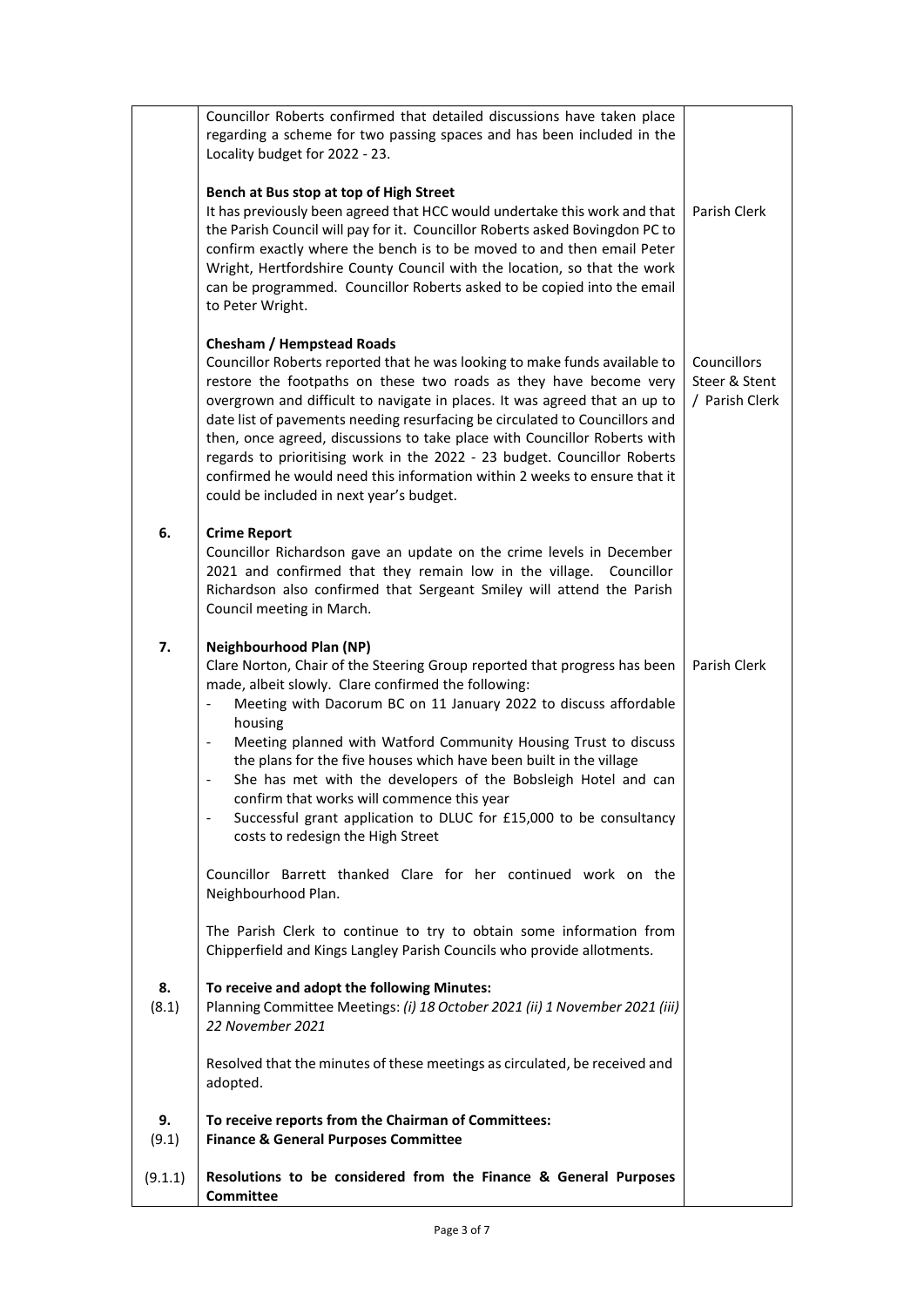|             | Councillor Roberts confirmed that detailed discussions have taken place<br>regarding a scheme for two passing spaces and has been included in the<br>Locality budget for 2022 - 23.                                                                                                                                                                                                                                                                                                                                                                                                                                                                                                                                                                   |                                                |
|-------------|-------------------------------------------------------------------------------------------------------------------------------------------------------------------------------------------------------------------------------------------------------------------------------------------------------------------------------------------------------------------------------------------------------------------------------------------------------------------------------------------------------------------------------------------------------------------------------------------------------------------------------------------------------------------------------------------------------------------------------------------------------|------------------------------------------------|
|             | Bench at Bus stop at top of High Street<br>It has previously been agreed that HCC would undertake this work and that<br>the Parish Council will pay for it. Councillor Roberts asked Bovingdon PC to<br>confirm exactly where the bench is to be moved to and then email Peter<br>Wright, Hertfordshire County Council with the location, so that the work<br>can be programmed. Councillor Roberts asked to be copied into the email<br>to Peter Wright.                                                                                                                                                                                                                                                                                             | Parish Clerk                                   |
|             | <b>Chesham / Hempstead Roads</b><br>Councillor Roberts reported that he was looking to make funds available to<br>restore the footpaths on these two roads as they have become very<br>overgrown and difficult to navigate in places. It was agreed that an up to<br>date list of pavements needing resurfacing be circulated to Councillors and<br>then, once agreed, discussions to take place with Councillor Roberts with<br>regards to prioritising work in the 2022 - 23 budget. Councillor Roberts<br>confirmed he would need this information within 2 weeks to ensure that it<br>could be included in next year's budget.                                                                                                                    | Councillors<br>Steer & Stent<br>/ Parish Clerk |
| 6.          | <b>Crime Report</b><br>Councillor Richardson gave an update on the crime levels in December<br>2021 and confirmed that they remain low in the village. Councillor<br>Richardson also confirmed that Sergeant Smiley will attend the Parish<br>Council meeting in March.                                                                                                                                                                                                                                                                                                                                                                                                                                                                               |                                                |
| 7.          | <b>Neighbourhood Plan (NP)</b><br>Clare Norton, Chair of the Steering Group reported that progress has been<br>made, albeit slowly. Clare confirmed the following:<br>Meeting with Dacorum BC on 11 January 2022 to discuss affordable<br>$\qquad \qquad -$<br>housing<br>Meeting planned with Watford Community Housing Trust to discuss<br>$\blacksquare$<br>the plans for the five houses which have been built in the village<br>She has met with the developers of the Bobsleigh Hotel and can<br>confirm that works will commence this year<br>Successful grant application to DLUC for £15,000 to be consultancy<br>costs to redesign the High Street<br>Councillor Barrett thanked Clare for her continued work on the<br>Neighbourhood Plan. | Parish Clerk                                   |
|             | The Parish Clerk to continue to try to obtain some information from<br>Chipperfield and Kings Langley Parish Councils who provide allotments.                                                                                                                                                                                                                                                                                                                                                                                                                                                                                                                                                                                                         |                                                |
| 8.<br>(8.1) | To receive and adopt the following Minutes:<br>Planning Committee Meetings: (i) 18 October 2021 (ii) 1 November 2021 (iii)<br>22 November 2021                                                                                                                                                                                                                                                                                                                                                                                                                                                                                                                                                                                                        |                                                |
|             | Resolved that the minutes of these meetings as circulated, be received and<br>adopted.                                                                                                                                                                                                                                                                                                                                                                                                                                                                                                                                                                                                                                                                |                                                |
| 9.<br>(9.1) | To receive reports from the Chairman of Committees:<br><b>Finance &amp; General Purposes Committee</b>                                                                                                                                                                                                                                                                                                                                                                                                                                                                                                                                                                                                                                                |                                                |
| (9.1.1)     | Resolutions to be considered from the Finance & General Purposes<br><b>Committee</b>                                                                                                                                                                                                                                                                                                                                                                                                                                                                                                                                                                                                                                                                  |                                                |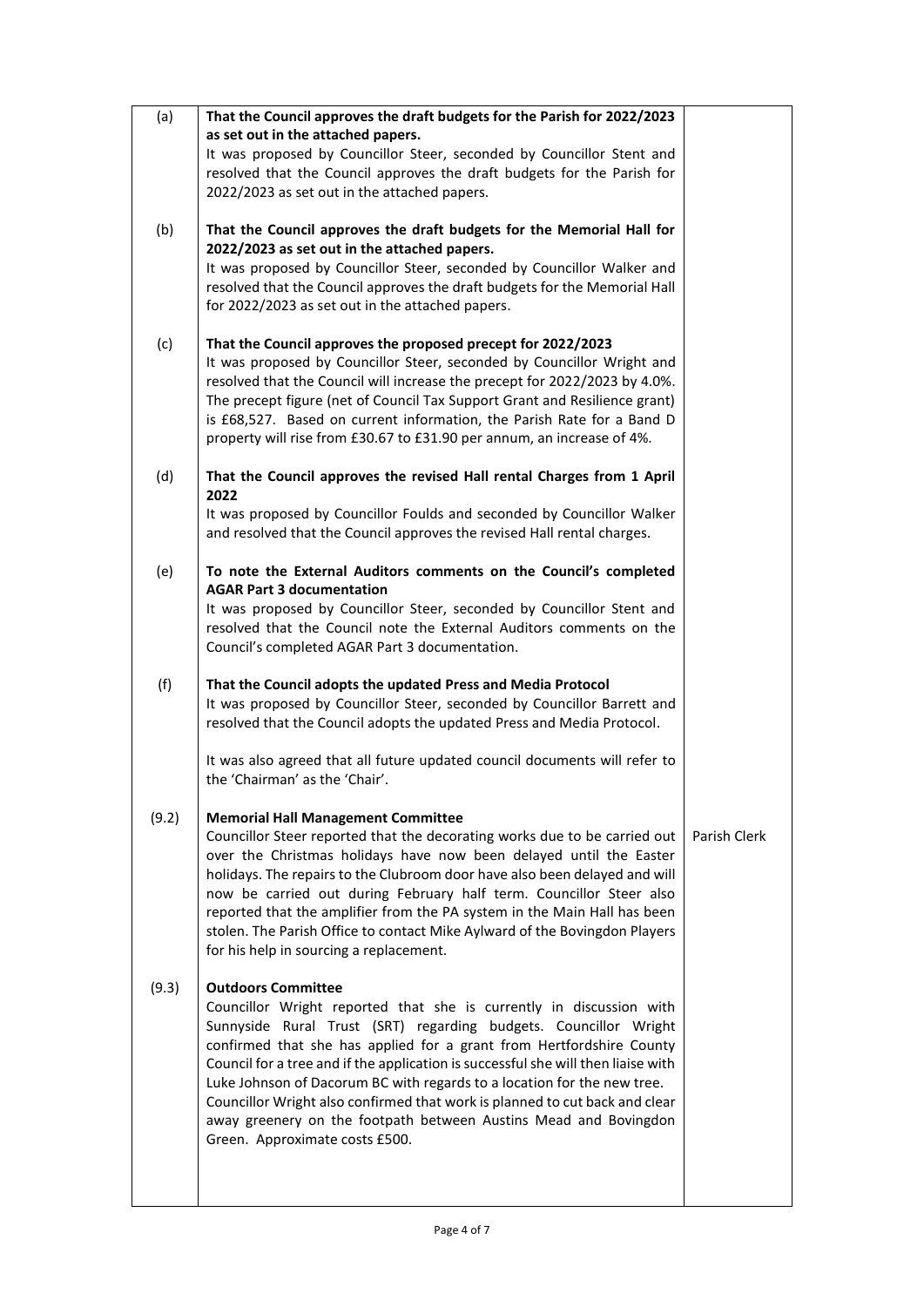| (a)   | That the Council approves the draft budgets for the Parish for 2022/2023                                                                               |              |
|-------|--------------------------------------------------------------------------------------------------------------------------------------------------------|--------------|
|       | as set out in the attached papers.                                                                                                                     |              |
|       | It was proposed by Councillor Steer, seconded by Councillor Stent and                                                                                  |              |
|       | resolved that the Council approves the draft budgets for the Parish for                                                                                |              |
|       | 2022/2023 as set out in the attached papers.                                                                                                           |              |
| (b)   | That the Council approves the draft budgets for the Memorial Hall for                                                                                  |              |
|       | 2022/2023 as set out in the attached papers.                                                                                                           |              |
|       | It was proposed by Councillor Steer, seconded by Councillor Walker and                                                                                 |              |
|       | resolved that the Council approves the draft budgets for the Memorial Hall                                                                             |              |
|       | for 2022/2023 as set out in the attached papers.                                                                                                       |              |
| (c)   | That the Council approves the proposed precept for 2022/2023                                                                                           |              |
|       | It was proposed by Councillor Steer, seconded by Councillor Wright and                                                                                 |              |
|       | resolved that the Council will increase the precept for 2022/2023 by 4.0%.                                                                             |              |
|       | The precept figure (net of Council Tax Support Grant and Resilience grant)                                                                             |              |
|       | is £68,527. Based on current information, the Parish Rate for a Band D                                                                                 |              |
|       | property will rise from £30.67 to £31.90 per annum, an increase of 4%.                                                                                 |              |
| (d)   | That the Council approves the revised Hall rental Charges from 1 April<br>2022                                                                         |              |
|       | It was proposed by Councillor Foulds and seconded by Councillor Walker                                                                                 |              |
|       | and resolved that the Council approves the revised Hall rental charges.                                                                                |              |
|       |                                                                                                                                                        |              |
| (e)   | To note the External Auditors comments on the Council's completed<br><b>AGAR Part 3 documentation</b>                                                  |              |
|       | It was proposed by Councillor Steer, seconded by Councillor Stent and                                                                                  |              |
|       | resolved that the Council note the External Auditors comments on the                                                                                   |              |
|       | Council's completed AGAR Part 3 documentation.                                                                                                         |              |
|       |                                                                                                                                                        |              |
| (f)   | That the Council adopts the updated Press and Media Protocol<br>It was proposed by Councillor Steer, seconded by Councillor Barrett and                |              |
|       | resolved that the Council adopts the updated Press and Media Protocol.                                                                                 |              |
|       |                                                                                                                                                        |              |
|       | It was also agreed that all future updated council documents will refer to                                                                             |              |
|       | the 'Chairman' as the 'Chair'.                                                                                                                         |              |
| (9.2) | <b>Memorial Hall Management Committee</b>                                                                                                              |              |
|       | Councillor Steer reported that the decorating works due to be carried out                                                                              | Parish Clerk |
|       | over the Christmas holidays have now been delayed until the Easter                                                                                     |              |
|       | holidays. The repairs to the Clubroom door have also been delayed and will<br>now be carried out during February half term. Councillor Steer also      |              |
|       | reported that the amplifier from the PA system in the Main Hall has been                                                                               |              |
|       | stolen. The Parish Office to contact Mike Aylward of the Bovingdon Players                                                                             |              |
|       | for his help in sourcing a replacement.                                                                                                                |              |
|       |                                                                                                                                                        |              |
| (9.3) | <b>Outdoors Committee</b>                                                                                                                              |              |
|       | Councillor Wright reported that she is currently in discussion with                                                                                    |              |
|       | Sunnyside Rural Trust (SRT) regarding budgets. Councillor Wright                                                                                       |              |
|       | confirmed that she has applied for a grant from Hertfordshire County                                                                                   |              |
|       | Council for a tree and if the application is successful she will then liaise with                                                                      |              |
|       | Luke Johnson of Dacorum BC with regards to a location for the new tree.<br>Councillor Wright also confirmed that work is planned to cut back and clear |              |
|       | away greenery on the footpath between Austins Mead and Bovingdon                                                                                       |              |
|       | Green. Approximate costs £500.                                                                                                                         |              |
|       |                                                                                                                                                        |              |
|       |                                                                                                                                                        |              |
|       |                                                                                                                                                        |              |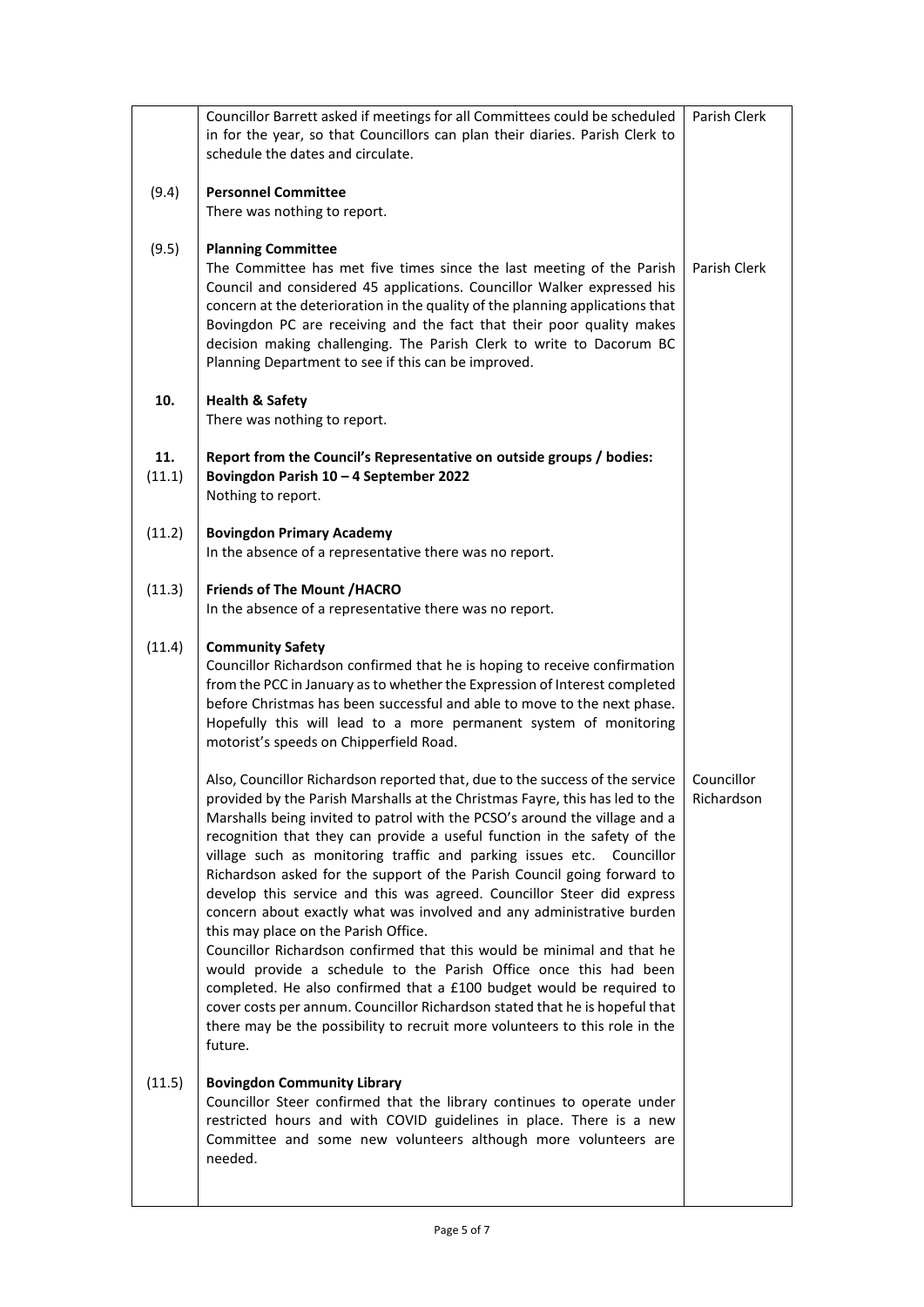|               | Councillor Barrett asked if meetings for all Committees could be scheduled<br>in for the year, so that Councillors can plan their diaries. Parish Clerk to<br>schedule the dates and circulate.                                                                                                                                                                                                                                                                                                                                                                                                                                                                                                                                                                                                                                                                                                                                                                                                                                                                      | Parish Clerk             |
|---------------|----------------------------------------------------------------------------------------------------------------------------------------------------------------------------------------------------------------------------------------------------------------------------------------------------------------------------------------------------------------------------------------------------------------------------------------------------------------------------------------------------------------------------------------------------------------------------------------------------------------------------------------------------------------------------------------------------------------------------------------------------------------------------------------------------------------------------------------------------------------------------------------------------------------------------------------------------------------------------------------------------------------------------------------------------------------------|--------------------------|
| (9.4)         | <b>Personnel Committee</b><br>There was nothing to report.                                                                                                                                                                                                                                                                                                                                                                                                                                                                                                                                                                                                                                                                                                                                                                                                                                                                                                                                                                                                           |                          |
| (9.5)         | <b>Planning Committee</b><br>The Committee has met five times since the last meeting of the Parish<br>Council and considered 45 applications. Councillor Walker expressed his<br>concern at the deterioration in the quality of the planning applications that<br>Bovingdon PC are receiving and the fact that their poor quality makes<br>decision making challenging. The Parish Clerk to write to Dacorum BC<br>Planning Department to see if this can be improved.                                                                                                                                                                                                                                                                                                                                                                                                                                                                                                                                                                                               | Parish Clerk             |
| 10.           | <b>Health &amp; Safety</b><br>There was nothing to report.                                                                                                                                                                                                                                                                                                                                                                                                                                                                                                                                                                                                                                                                                                                                                                                                                                                                                                                                                                                                           |                          |
| 11.<br>(11.1) | Report from the Council's Representative on outside groups / bodies:<br>Bovingdon Parish 10 - 4 September 2022<br>Nothing to report.                                                                                                                                                                                                                                                                                                                                                                                                                                                                                                                                                                                                                                                                                                                                                                                                                                                                                                                                 |                          |
| (11.2)        | <b>Bovingdon Primary Academy</b><br>In the absence of a representative there was no report.                                                                                                                                                                                                                                                                                                                                                                                                                                                                                                                                                                                                                                                                                                                                                                                                                                                                                                                                                                          |                          |
| (11.3)        | <b>Friends of The Mount /HACRO</b><br>In the absence of a representative there was no report.                                                                                                                                                                                                                                                                                                                                                                                                                                                                                                                                                                                                                                                                                                                                                                                                                                                                                                                                                                        |                          |
| (11.4)        | <b>Community Safety</b><br>Councillor Richardson confirmed that he is hoping to receive confirmation<br>from the PCC in January as to whether the Expression of Interest completed<br>before Christmas has been successful and able to move to the next phase.<br>Hopefully this will lead to a more permanent system of monitoring<br>motorist's speeds on Chipperfield Road.                                                                                                                                                                                                                                                                                                                                                                                                                                                                                                                                                                                                                                                                                       |                          |
|               | Also, Councillor Richardson reported that, due to the success of the service<br>provided by the Parish Marshalls at the Christmas Fayre, this has led to the<br>Marshalls being invited to patrol with the PCSO's around the village and a<br>recognition that they can provide a useful function in the safety of the<br>village such as monitoring traffic and parking issues etc. Councillor<br>Richardson asked for the support of the Parish Council going forward to<br>develop this service and this was agreed. Councillor Steer did express<br>concern about exactly what was involved and any administrative burden<br>this may place on the Parish Office.<br>Councillor Richardson confirmed that this would be minimal and that he<br>would provide a schedule to the Parish Office once this had been<br>completed. He also confirmed that a £100 budget would be required to<br>cover costs per annum. Councillor Richardson stated that he is hopeful that<br>there may be the possibility to recruit more volunteers to this role in the<br>future. | Councillor<br>Richardson |
| (11.5)        | <b>Bovingdon Community Library</b><br>Councillor Steer confirmed that the library continues to operate under<br>restricted hours and with COVID guidelines in place. There is a new<br>Committee and some new volunteers although more volunteers are<br>needed.                                                                                                                                                                                                                                                                                                                                                                                                                                                                                                                                                                                                                                                                                                                                                                                                     |                          |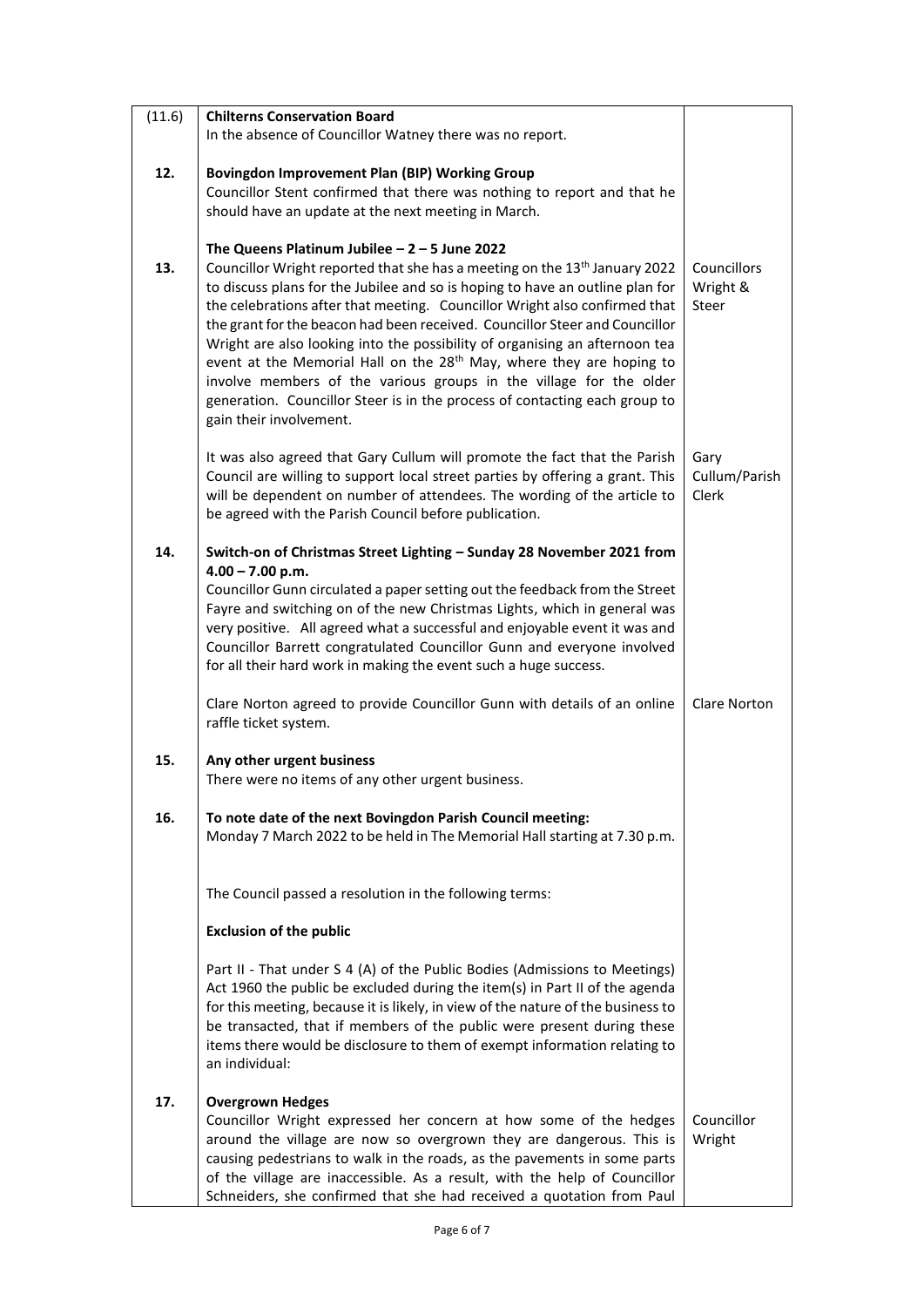| (11.6) | <b>Chilterns Conservation Board</b>                                                                                                                        |                        |
|--------|------------------------------------------------------------------------------------------------------------------------------------------------------------|------------------------|
|        | In the absence of Councillor Watney there was no report.                                                                                                   |                        |
| 12.    | <b>Bovingdon Improvement Plan (BIP) Working Group</b>                                                                                                      |                        |
|        | Councillor Stent confirmed that there was nothing to report and that he                                                                                    |                        |
|        | should have an update at the next meeting in March.                                                                                                        |                        |
|        | The Queens Platinum Jubilee $-2 - 5$ June 2022                                                                                                             |                        |
| 13.    | Councillor Wright reported that she has a meeting on the 13 <sup>th</sup> January 2022                                                                     | Councillors            |
|        | to discuss plans for the Jubilee and so is hoping to have an outline plan for                                                                              | Wright &               |
|        | the celebrations after that meeting. Councillor Wright also confirmed that<br>the grant for the beacon had been received. Councillor Steer and Councillor  | Steer                  |
|        | Wright are also looking into the possibility of organising an afternoon tea                                                                                |                        |
|        | event at the Memorial Hall on the 28 <sup>th</sup> May, where they are hoping to                                                                           |                        |
|        | involve members of the various groups in the village for the older                                                                                         |                        |
|        | generation. Councillor Steer is in the process of contacting each group to                                                                                 |                        |
|        | gain their involvement.                                                                                                                                    |                        |
|        | It was also agreed that Gary Cullum will promote the fact that the Parish                                                                                  | Gary                   |
|        | Council are willing to support local street parties by offering a grant. This<br>will be dependent on number of attendees. The wording of the article to   | Cullum/Parish<br>Clerk |
|        | be agreed with the Parish Council before publication.                                                                                                      |                        |
|        |                                                                                                                                                            |                        |
| 14.    | Switch-on of Christmas Street Lighting - Sunday 28 November 2021 from<br>$4.00 - 7.00$ p.m.                                                                |                        |
|        | Councillor Gunn circulated a paper setting out the feedback from the Street                                                                                |                        |
|        | Fayre and switching on of the new Christmas Lights, which in general was                                                                                   |                        |
|        | very positive. All agreed what a successful and enjoyable event it was and<br>Councillor Barrett congratulated Councillor Gunn and everyone involved       |                        |
|        | for all their hard work in making the event such a huge success.                                                                                           |                        |
|        | Clare Norton agreed to provide Councillor Gunn with details of an online                                                                                   | <b>Clare Norton</b>    |
|        | raffle ticket system.                                                                                                                                      |                        |
| 15.    | Any other urgent business                                                                                                                                  |                        |
|        | There were no items of any other urgent business.                                                                                                          |                        |
| 16.    | To note date of the next Bovingdon Parish Council meeting:                                                                                                 |                        |
|        | Monday 7 March 2022 to be held in The Memorial Hall starting at 7.30 p.m.                                                                                  |                        |
|        |                                                                                                                                                            |                        |
|        | The Council passed a resolution in the following terms:                                                                                                    |                        |
|        | <b>Exclusion of the public</b>                                                                                                                             |                        |
|        | Part II - That under S 4 (A) of the Public Bodies (Admissions to Meetings)                                                                                 |                        |
|        | Act 1960 the public be excluded during the item(s) in Part II of the agenda                                                                                |                        |
|        | for this meeting, because it is likely, in view of the nature of the business to<br>be transacted, that if members of the public were present during these |                        |
|        | items there would be disclosure to them of exempt information relating to                                                                                  |                        |
|        | an individual:                                                                                                                                             |                        |
| 17.    | <b>Overgrown Hedges</b>                                                                                                                                    |                        |
|        | Councillor Wright expressed her concern at how some of the hedges                                                                                          | Councillor             |
|        | around the village are now so overgrown they are dangerous. This is                                                                                        | Wright                 |
|        | causing pedestrians to walk in the roads, as the pavements in some parts<br>of the village are inaccessible. As a result, with the help of Councillor      |                        |
|        | Schneiders, she confirmed that she had received a quotation from Paul                                                                                      |                        |